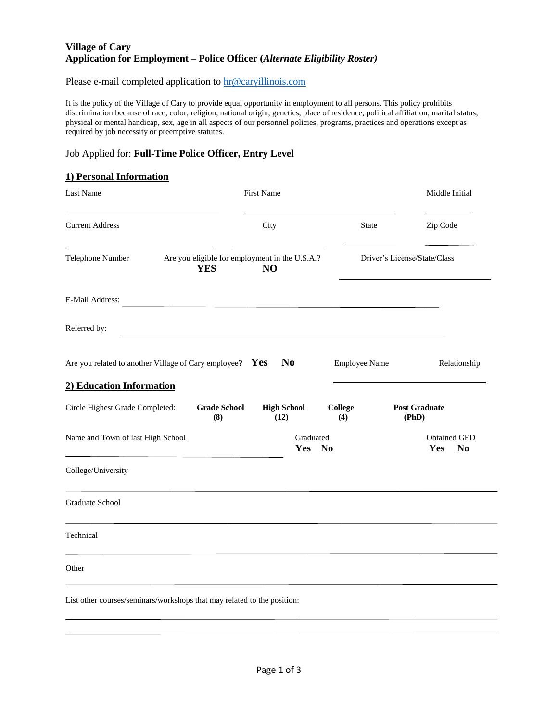## **Village of Cary Application for Employment – Police Officer (***Alternate Eligibility Roster)*

Please e-mail completed application to [hr@caryillinois.com](mailto:hr@caryillinois.com)

It is the policy of the Village of Cary to provide equal opportunity in employment to all persons. This policy prohibits discrimination because of race, color, religion, national origin, genetics, place of residence, political affiliation, marital status, physical or mental handicap, sex, age in all aspects of our personnel policies, programs, practices and operations except as required by job necessity or preemptive statutes.

## Job Applied for: **Full-Time Police Officer, Entry Level**

## **1) Personal Information**

|                                                               | <b>First Name</b>                  |                                                            | Middle Initial                                                                                                                 |  |
|---------------------------------------------------------------|------------------------------------|------------------------------------------------------------|--------------------------------------------------------------------------------------------------------------------------------|--|
|                                                               | City                               |                                                            | Zip Code                                                                                                                       |  |
| <b>YES</b>                                                    | N <sub>O</sub>                     |                                                            | Driver's License/State/Class                                                                                                   |  |
|                                                               |                                    |                                                            |                                                                                                                                |  |
|                                                               |                                    |                                                            |                                                                                                                                |  |
|                                                               | <b>No</b>                          | <b>Employee Name</b>                                       | Relationship                                                                                                                   |  |
| 2) Education Information                                      |                                    |                                                            |                                                                                                                                |  |
| Circle Highest Grade Completed:<br><b>Grade School</b><br>(8) | <b>High School</b><br>(12)         | <b>College</b><br>(4)                                      | <b>Post Graduate</b><br>(PhD)                                                                                                  |  |
| Name and Town of last High School                             | Graduated<br>Yes<br>N <sub>0</sub> |                                                            | <b>Obtained GED</b><br>Yes<br>N <sub>0</sub>                                                                                   |  |
|                                                               |                                    |                                                            |                                                                                                                                |  |
|                                                               |                                    |                                                            |                                                                                                                                |  |
|                                                               |                                    |                                                            |                                                                                                                                |  |
|                                                               |                                    |                                                            |                                                                                                                                |  |
|                                                               |                                    |                                                            |                                                                                                                                |  |
|                                                               |                                    | Are you related to another Village of Cary employee? $Yes$ | State<br>Are you eligible for employment in the U.S.A.?<br><u> 1980 - Johann Stein, mars an deus Amerikaansk kommunister (</u> |  |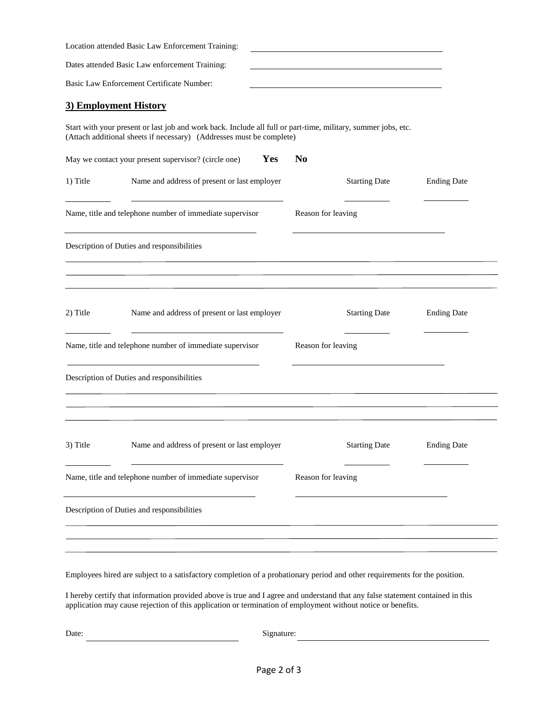|                                                          | Location attended Basic Law Enforcement Training:                                                                                                                                     |                    |                      |                    |
|----------------------------------------------------------|---------------------------------------------------------------------------------------------------------------------------------------------------------------------------------------|--------------------|----------------------|--------------------|
|                                                          | Dates attended Basic Law enforcement Training:                                                                                                                                        |                    |                      |                    |
|                                                          | Basic Law Enforcement Certificate Number:                                                                                                                                             |                    |                      |                    |
| 3) Employment History                                    |                                                                                                                                                                                       |                    |                      |                    |
|                                                          | Start with your present or last job and work back. Include all full or part-time, military, summer jobs, etc.<br>(Attach additional sheets if necessary) (Addresses must be complete) |                    |                      |                    |
|                                                          | May we contact your present supervisor? (circle one)<br>Yes                                                                                                                           | N <sub>0</sub>     |                      |                    |
| 1) Title                                                 | Name and address of present or last employer                                                                                                                                          |                    | <b>Starting Date</b> | <b>Ending Date</b> |
| Name, title and telephone number of immediate supervisor |                                                                                                                                                                                       | Reason for leaving |                      |                    |
|                                                          | Description of Duties and responsibilities                                                                                                                                            |                    |                      |                    |
| 2) Title                                                 | Name and address of present or last employer                                                                                                                                          |                    | <b>Starting Date</b> | <b>Ending Date</b> |
|                                                          | Name, title and telephone number of immediate supervisor                                                                                                                              | Reason for leaving |                      |                    |
|                                                          | Description of Duties and responsibilities                                                                                                                                            |                    |                      |                    |
| 3) Title                                                 | Name and address of present or last employer                                                                                                                                          |                    | <b>Starting Date</b> | <b>Ending Date</b> |
|                                                          | Name, title and telephone number of immediate supervisor                                                                                                                              | Reason for leaving |                      |                    |
|                                                          | Description of Duties and responsibilities                                                                                                                                            |                    |                      |                    |
|                                                          |                                                                                                                                                                                       |                    |                      |                    |

Employees hired are subject to a satisfactory completion of a probationary period and other requirements for the position.

I hereby certify that information provided above is true and I agree and understand that any false statement contained in this application may cause rejection of this application or termination of employment without notice or benefits.

Date: Signature:

<u> 1980 - Johann Barnett, fransk politik (</u>